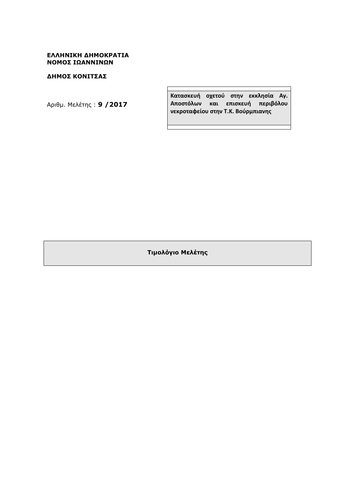# **ΕΛΛΗΝΙΚΗ ∆ΗΜΟΚΡΑΤΙΑ ΝΟΜΟΣ ΙΩΑΝΝΙΝΩΝ**

# **∆ΗΜΟΣ ΚΟΝΙΤΣΑΣ**

Aριθµ. Μελέτης : **9 /2017**

**Κατασκευή οχετού στην εκκλησία Αγ. Αποστόλων και επισκευή περιβόλου νεκροταφείου στην Τ.Κ. Βούρμπιανης**

**Τιµολόγιο Μελέτης**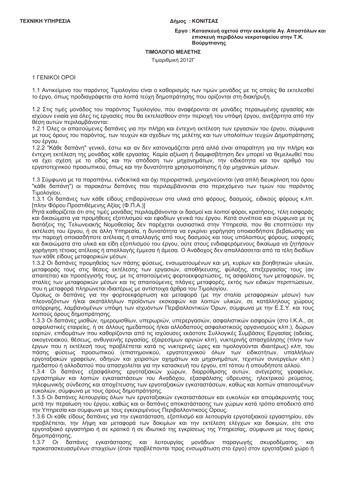### Δήμος: ΚΟΝΙΤΣΑΣ

### Εργο: Κατασκευή οχετού στην εκκλησία Αγ. Αποστόλων και επισκευή περιβόλου νεκροταφείου στην Τ.Κ. Βούρμπιανης

### ΤΙΜΟΛΟΓΙΟ ΜΕΛΕΤΗΣ

Τιμαριθμική 2012Γ

# 1 FENIKOI OPOI

1.1 Αντικείμενο του παρόντος Τιμολογίου είναι ο καθορισμός των τιμών μονάδος με τις οποίες θα εκτελεσθεί το έργο, όπως προδιαγράφεται στα λοιπά τεύχη δημοπράτησης που ορίζονται στη διακήρυξη.

1.2 Στις τιμές μονάδος του παρόντος Τιμολογίου, που αναφέρονται σε μονάδες περαιωμένης εργασίας και ισχύουν ενιαία για όλες τις εργασίες που θα εκτελεσθούν στην περιοχή του υπόψη έργου, ανεξάρτητα από την θέση αυτών περιλαμβάνονται:

1.2.1 Όλες οι απαιτούμενες δαπάνες για την πλήρη και έντεχνη εκτέλεση των εργασιών του έργου, σύμφωνα με τους όρους του παρόντος, των τευχών και σχεδίων της μελέτης και των υπολοίπων τευχών Δημοπράτησης του έργου.

1.2.2 "Κάθε δαπάνη" γενικά, έστω και αν δεν κατονομάζεται ρητά αλλά είναι απαραίτητη για την πλήρη και έντεχνη εκτέλεση της μονάδας κάθε εργασίας. Καμία αξίωση ή διαμφισβήτηση δεν μπορεί να θεμελιωθεί που να έχει σχέση με το είδος και την απόδοση των μηχανημάτων, την ειδικότητα και τον αριθμό του εργατοτεχνικού προσωπικού, όπως και την δυνατότητα χρησιμοποίησης ή όχι μηχανικών μέσων.

1.3 Σύμφωνα με τα παραπάνω, ενδεικτικά και όχι περιοριστικά, μνημονεύονται (για απλή διευκρίνιση του όρου "κάθε δαπάνη") οι παρακάτω δαπάνες που περιλαμβάνονται στο περιεχόμενο των τιμών του παρόντος Τιμολογίου.

1.3.1 Οι δαπάνες των κάθε είδους επιβαρύνσεων στα υλικά από φόρους, δασμούς, ειδικούς φόρους κ.λπ. [πλην Φόρου Προστιθέμενης Αξίας (Φ.Π.Α.)]

Ρητά καθορίζεται ότι στις τιμές μονάδας περιλαμβάνονται οι δασμοί και λοιποί φόροι, κρατήσεις, τέλη εισφοράς και δικαιώματα για προμήθειες εξοπλισμού και εφοδίων γενικά του έργου. Κατά συνέπεια και σύμφωνα με τις διατάξεις της Τελωνειακής Νομοθεσίας δεν παρέχεται ουσιαστικά στην Υπηρεσία, που θα εποπτεύσει την εκτέλεση του έργου, ή σε άλλη Υπηρεσία, η δυνατότητα να εγκρίνει χορήγηση οποιασδήποτε βεβαίωσης για την παροχή οποιασδήποτε ατέλειας ή απαλλαγής από τους δασμούς και τους υπόλοιπους φόρους, εισφορές και δικαιώματα στα υλικά και είδη εξοπλισμού του έργου, ούτε στους ενδιαφερόμενους δικαίωμα να ζητήσουν χορήγηση τέτοιας ατέλειας ή απαλλαγής έμμεσα ή άμεσα. Ο Ανάδοχος δεν απαλλάσσεται από τα τέλη διοδίων των κάθε είδους μεταφορικών μέσων.

1.3.2 Οι δαπάνες προμηθείας των πάσης φύσεως, ενσωματουμένων και μη, κυρίων και βοηθητικών υλικών, μεταφοράς τους στις θέσεις εκτέλεσης των εργασιών, αποθήκευσης, φύλαξης, επεξεργασίας τους (αν<br>απαιτείται) και προσέγγισής τους, με τις απαιτούμενες φορτοεκφορτώσεις, τις ασφαλίσεις των μεταφορών, τις σταλίες των μεταφορικών μέσων και τις απαιτούμενες πλάγιες μεταφορές, εκτός των ειδικών περιπτώσεων, που η μεταφορά πληρώνεται ιδιαιτέρως με αντίστοιχα άρθρα του Τιμολογίου.

Ομοίως οι δαπάνες για την φορτοεκφόρτωση και μεταφορά (με την σταλία μεταφορικών μέσων) των πλεοναζόντων ή/και ακατάλληλων προϊόντων εκσκαφών και λοιπών υλικών, σε κατάλληλους χώρους απόρριψης, λαμβανομένων υπόψη των ισχυόντων Περιβαλλοντικών Όρων, σύμφωνα με την Ε.Σ.Υ. και τους λοιπούς όρους δημοπράτησης.

1.3.3 Οι δαπάνες μισθών, ημερομισθίων, υπερωριών, υπερερνασιών, ασφαλιστικών εισφορών (στο Ι.Κ.Α., σε ασφαλιστικές εταιρείες, ή σε άλλους ημεδαπούς ή/και αλλοδαπούς ασφαλιστικούς οργανισμούς κλπ.), δώρων εορτών, επιδομάτων που καθορίζονται από τις ισχύουσες εκάστοτε Συλλονικές Συμβάσεις Εργασίας (αδείας, οικονενειακού, θέσεως, ανθυνιεινής ερνασίας, εξαιρεσίμων αργιών κλπ), νυκτερινής απασχόλησης (πλην των έρνων που η εκτέλεσή τους προβλέπεται κατά τις νυκτερινές ώρες και τιμολονούνται ιδιαιτέρως) κλπ. του πάσης φύσεως προσωπικού (επιστημονικού, εργατοτεχνικού όλων των ειδικοτήτων, υπαλλήλων εργοταξιακών γραφείων, οδηγών και χειριστών οχημάτων και μηχανημάτων, τεχνιτών συνεργείων κλπ.) ημεδαπού ή αλλοδαπού που απασχολείται για την κατασκευή του έργου, επί τόπου ή οπουδήποτε αλλού.

1.3.4 Οι δαπάνες εξασφάλισης εργοταξιακών χώρων, διαρρύθμισης αυτών, ανέγερσης γραφείων, εργαστηρίων και λοιπών εγκαταστάσεων του Αναδόχου, εξασφάλισης ύδρευσης, ηλεκτρικού ρεύματος, τηλεφωνικής σύνδεσης και αποχέτευσης των εργοταξιακών εγκαταστάσεων, καθώς και λοιπών απαιτουμένων ευκολιών, σύμφωνα με τους όρους δημοπράτησης.

1.3.5 Οι δαπάνες λειτουργίας όλων των εργοταξιακών εγκαταστάσεων και ευκολιών και απομάκρυνσής τους μετά την περαίωση του έργου, καθώς και οι δαπάνες αποκατάστασης των χώρων κατά τρόπο αποδεκτό από την Υπηρεσία και σύμφωνα με τους εγκεκριμένους Περιβαλλοντικούς Ορους.

1.3.6 Οι κάθε είδους δαπάνες για την εγκατάσταση, εξοπλισμό και λειτουργία εργοταξιακού εργαστηρίου, εάν προβλέπεται, την λήψη και μεταφορά των δοκιμίων και την εκτέλεση ελέγχων και δοκιμών, είτε στο εργοταξιακό εργαστήριο ή σε κρατικό ή σε ιδιωτικό της εγκρίσεως της Υπηρεσίας, σύμφωνα με τους όρους δημοπράτησης.

δαπάνες εγκατάστασης και λειτουργίας μονάδων παραγωγής σκυροδέματος, 137  $\Omega$ προκατασκευασμένων στοιχείων (όταν προβλέπονται προς ενσωμάτωση στο έργο) στον εργοταξιακό χώρο ή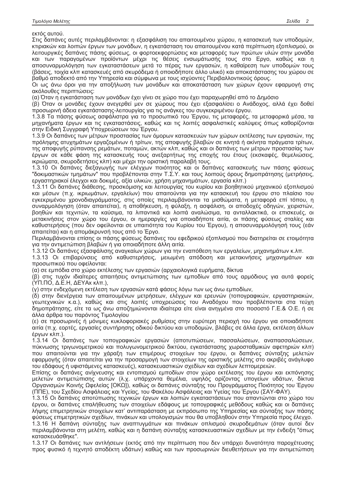εκτός αυτού.

Στις δαπάνες αυτές περιλαμβάνονται: η εξασφάλιση του απαιτουμένου χώρου, η κατασκευή των υποδομών, κτιριακών και λοιπών έργων των μονάδων, η εγκατάσταση του απαιτουμένου κατά περίπτωση εξοπλισμού, οι λειτουργικές δαπάνες πάσης φύσεως, οι φορτοεκφορτώσεις και μεταφορές των πρώτων υλών στην μονάδα και των παραγομένων προϊόντων μέχρι τις θέσεις ενσωμάτωσής τους στο Εργο, καθώς και η αποσυναρμολόγηση των εγκαταστάσεων μετά το πέρας των εργασιών, η καθαίρεση των υποδομών τους (βάσεις, τοιχία κλπ κατασκευές από σκυρόδεμα ή οποιοδήποτε άλλο υλικό) και αποκατάστασης του χώρου σε βαθμό αποδεκτό από την Υπηρεσία και σύμφωνα με τους ισχύοντες Περιβαλλοντικούς όρους.

Οι ως άνω όροι για την αποξήλωση των μονάδων και αποκατάσταση των χώρων έχουν εφαρμογή στις ακόλουθες περιπτώσεις:

(α) Όταν η εγκατάσταση των μονάδων έχει γίνει σε χώρο που έχει παραχωρηθεί από το Δημόσιο

(β) Όταν οι μονάδες έχουν ανεγερθεί μεν σε χώρους που έχει εξασφαλίσει ο Ανάδοχος, αλλά έχει δοθεί προσωρινή άδεια εγκατάστασης-λειτουργίας για τις ανάγκες του συγκεκριμένου έργου.

1.3.8 Τα πάσης φύσεως ασφάλιστρα για το προσωπικό του Έργου, τις μεταφορές, τα μεταφορικά μέσα, τα μηχανήματα έργων και τις εγκαταστάσεις, καθώς και τις λοιπές ασφαλιστικές καλύψεις όπως καθορίζονται στην Ειδική Συγγραφή Υποχρεώσεων του Έργου.

1.3.9 Οι δαπάνες των μέτρων προστασίας των όμορων κατασκευών των χώρων εκτέλεσης των εργασιών, της πρόληψης ατυχημάτων εργαζομένων ή τρίτων, της αποφυγής βλαβών σε κινητά ή ακίνητα πράγματα τρίτων, της αποφυγής ρύπανσης ρεμάτων, ποταμών, ακτών κλπ, καθώς και οι δαπάνες των μέτρων προστασίας των έργων σε κάθε φάση της κατασκευής τους ανεξαρτήτως της εποχής του έτους (εκσκαφές, θεμελιώσεις, ικριώματα, σκυροδετήσεις κλπ) και μέχρι την οριστική παραλαβή τους.

1.3.10 Οι δαπάνες διεξαγωγής των ελέγχων ποιότητος και οι δαπάνες κατασκευής των πάσης φύσεως "δοκιμαστικών τμημάτων" που προβλέπονται στην Τ.Σ.Υ. και τους λοιπούς όρους δημοπράτησης (μετρήσεις, εργαστηριακοί έλεγχοι και δοκιμές, αξία υλικών, χρήση μηχανημάτων, εργασία κλπ.)

1.3.11 Οι δαπάνες διάθεσης, προσκόμισης και λειτουργίας του κυρίου και βοηθητικού μηχανικού εξοπλισμού και μέσων (π.χ. ικριωμάτων, εργαλείων) που απαιτούνται για την κατασκευή του έργου στο πλαίσιο του εγκεκριμένου χρονοδιαγράμματος, στις οποίες περιλαμβάνονται τα μισθώματα, η μεταφορά επί τόπου, η συναρμολόγηση (όταν απαιτείται), η αποθήκευση, η φύλαξη, η ασφάλιση, οι αποδοχές οδηγών, χειριστών, βοηθών και τεχνιτών, τα καύσιμα, τα λιπαντικά και λοιπά αναλώσιμα, τα ανταλλακτικά, οι επισκευές, οι μετακινήσεις στον χώρο του έργου, οι ημεραργίες για οποιαδήποτε αιτία, οι πάσης φύσεως σταλίες και καθυστερήσεις (που δεν οφείλονται σε υπαιτιότητα του Κυρίου του Έργου), η αποσυναρμολόγησή τους (εάν απαιτείται) και η απομάκρυνσή τους από το Έργο.

Περιλαμβάνονται επίσης οι πάσης φύσεως δαπάνες του εφεδρικού εξοπλισμού που διατηρείται σε ετοιμότητα για την αντιμετώπιση βλαβών ή για οποιαδήποτε άλλη αιτία.

1.3.12 Οι δαπάνες εξασφάλισης αναγκαίων χώρων για την εναπόθεση των εργαλείων, μηχανημάτων κ.λπ.

1.3.13 Οι επιβαρύνσεις από καθυστερήσεις, μειωμένη απόδοση και μετακινήσεις μηχανημάτων και προσωπικού που οφείλονται:

(α) σε εμπόδια στο χώρο εκτέλεσης των εργασιών (αρχαιολογικά ευρήματα, δίκτυα

(β) στις τυχόν ιδιαίτερες απαιτήσεις αντιμετώπισης των εμποδίων από τους αρμόδιους για αυτά φορείς (ΥΠ.ΠΟ, Δ.Ε.Η, ΔΕΥΑχ κλπ.),

(γ) στην ενδεχόμενη εκτέλεση των εργασιών κατά φάσεις λόγω των ως άνω εμποδίων,

(δ) στην διενέργεια των απαιτουμένων μετρήσεων, ελέγχων και ερευνών (τοπογραφικών, εργαστηριακών, γεωτεχνικών κ.α.), καθώς και στις λοιπές υποχρεώσεις του Αναδόχου που προβλέπονται στα τεύχη δημοπράτησης, είτε τα ως άνω αποζημιώνονται ιδιαίτερα είτε είναι ανηγμένα στο ποσοστό Γ.Ε.& Ο.Ε. ή σε άλλα άρθρα του παρόντος Τιμολογίου

(ε) σε προσωρινές ή μόνιμες κυκλοφοριακές ρυθμίσεις στην ευρύτερη περιοχή του έργου για οποιαδήποτε αιτία (π.χ. εορτές, εργασίες συντήρησης οδικού δικτύου και υποδομών, βλάβες σε άλλα έργα, εκτέλεση άλλων έργων κλπ.).

1.3.14 Οι δαπάνες των τοπογραφικών εργασιών (αποτυπώσεων, πασσαλώσεων, αναπασσαλώσεων, πύκνωσης τριγωνομετρικού και πολυγωνομετρικού δικτύου, εγκατάστασης χωροσταθμικών αφετηριών κλπ) που απαιτούνται για την χάραξη των επιμέρους στοιχείων του έργου, οι δαπάνες σύνταξης μελετών εφαρμογής (όταν απαιτείται για την προσαρμογή των στοιχείων της οριστικής μελέτης στο ακριβές ανάγλυφο του εδάφους ή υφιστάμενες κατασκευές), κατασκευαστικών σχεδίων και σχεδίων λεπτομερειών.

Επίσης οι δαπάνες ανίχνευσης και εντοπισμού εμποδίων στον χώρο εκτέλεσης του έργου και εκπόνησης μελετών αντιμετώπισης αυτών (λ.χ. υπάρχοντα θεμέλια, υψηλός ορίζοντας υπογείων υδάτων, δίκτυα Οργανισμών Κοινής Ωφελείας [ΟΚΩ]), καθώς οι δαπάνες σύνταξης του Προγράμματος Ποιότητος του Έργου (ΠΠΕ), του Σχεδίου Ασφάλειας και Υγείας, του Φακέλου Ασφάλειας και Υγείας του Έργου (ΣΑΥ-ΦΑΥ).

1.3.15 Οι δαπάνες αποτύπωσης τεχνικών έργων και λοιπών εγκαταστάσεων που απαντώνται στο χώρο του έργου, οι δαπάνες επαλήθευσης των στοιχείων εδάφους με τοπογραφικές μεθόδους καθώς και οι δαπάνες λήψης επιμετρητικών στοιχείων κατ' αντιπαράσταση με εκπρόσωπο της Υπηρεσίας και σύνταξης των πάσης φύσεως επιμετρητικών σχεδίων, πινάκων και υπολογισμών που θα υποβληθούν στην Υπηρεσία προς έλεγχο. 1.3.16 Η δαπάνη σύνταξης των αναπτυγμάτων και πινάκων οπλισμού σκυροδεμάτων (όταν αυτοί δεν

περιλαμβάνονται στη μελέτη, καθώς και η δαπάνη σύνταξης κατασκευαστικών σχεδίων με την ένδειξη "όπως κατασκευάσθηκε".

1.3.17 Οι δαπάνες των αντλήσεων (εκτός από την περίπτωση που δεν υπάρχει δυνατότητα παροχέτευσης προς φυσικό ή τεχνητό αποδέκτη υδάτων) καθώς και των προσωρινών διευθετήσεων για την αντιμετώπιση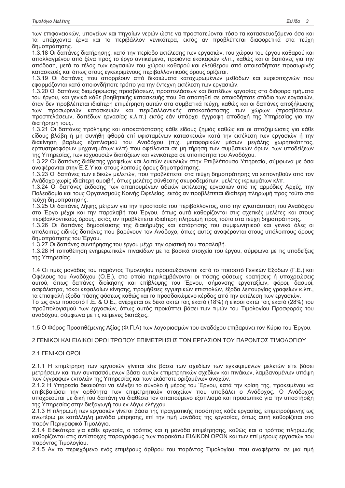των επιφανειακών, υπογείων και πηγαίων νερών ώστε να προστατεύονται τόσο τα κατασκευαζόμενα όσο και τα υπάρχοντα έργα και το περιβάλλον γενικότερα, εκτός αν προβλέπεται διαφορετικά στα τεύχη δημοπράτησης.

1.3.18 Οι δαπάνες διατήρησης, κατά την περίοδο εκτέλεσης των εργασιών, του χώρου του έργου καθαρού και απαλλαγμένου από ξένα προς το έργο αντικείμενα, προϊόντα εκσκαφών κλπ., καθώς και οι δαπάνες για την απόδοση, μετά το τέλος των εργασιών του χώρου καθαρού και ελεύθερου από οποιεσδήποτε προσωρινές κατασκευές και όπως στους εγκεκριμένους περιβαλλοντικούς όρους ορίζεται.

1.3.19 Οι δαπάνες που απορρέουν από δικαιώματα κατοχυρωμένων μεθόδων και ευρεσιτεχνιών που εφαρμόζονται κατά οποιονδήποτε τρόπο για την έντεχνη εκτέλεση των εργασιών.

1.3.20 Οι δαπάνες διαμόρφωσης προσβάσεων, προσπελάσεων και δαπέδων εργασίας στα διάφορα τμήματα του έργου, και γενικά κάθε βοηθητικής κατασκευής που θα απαιτηθεί σε οποιοδήποτε στάδιο των εργασιών, όταν δεν προβλέπεται ιδιαίτερη επιμέτρηση αυτών στα συμβατικά τεύχη, καθώς και οι δαπάνες αποξήλωσης των προσωρινών κατασκευών και περιβαλλοντικής αποκατάστασης των χώρων (προσβάσεων, προσπελάσεων, δαπέδων εργασίας κ.λ.π.) εκτός εάν υπάρχει έγγραφη αποδοχή της Υπηρεσίας για την διατήρησή τους.

1.3.21 Οι δαπάνες πρόληψης και αποκατάστασης κάθε είδους ζημιάς καθώς και οι αποζημιώσεις για κάθε είδους βλάβη ή μη συνήθη φθορά επί υφισταμένων κατασκευών κατά την εκτέλεση των εργασιών ή την διακίνηση βαρέως εξοπλισμού του Αναδόχου (π.χ. μεταφορικών μέσων μεγάλης χωρητικότητας, ερπυστριοφόρων μηχανημάτων κλπ) που οφείλονται σε μη τήρηση των συμβατικών όρων, των υποδείξεων της Υπηρεσίας, των ισχυουσών διατάξεων και γενικότερα σε υπαιτιότητα του Αναδόχου.

1.3.22 Οι δαπάνες διάθεσης γραφείων και λοιπών ευκολιών στην Επιβλέπουσα Υπηρεσία, σύμφωνα με όσα αναφέρονται στην Ε.Σ.Υ και στους λοιπούς όρους δημοπράτησης.

1.3.23 Οι δαπάνες των ειδικών μελετών, που προβλέπεται στα τεύχη δημοπράτησης να εκπονηθούν από τον Ανάδοχο χωρίς ιδιαίτερη αμοιβή, όπως μελέτες σύνθεσης σκυροδεμάτων, μελέτες ικριωμάτων κλπ.

1.3.24 Οι δαπάνες έκδοσης των απαιτουμένων αδειών εκτέλεσης εργασιών από τις αρμόδιες Αρχές, την Πολεοδομία και τους Οργανισμούς Κοινής Ωφελείας, εκτός αν προβλέπεται ιδιαίτερη πληρωμή προς τούτο στα τεύχη δημοπράτησης.

1.3.25 Οι δαπάνες λήψης μέτρων για την προστασία του περιβάλλοντος, από την εγκατάσταση του Αναδόχου στο Έργο μέχρι και την παραλαβή του Έργου, όπως αυτά καθορίζονται στις σχετικές μελέτες και στους περιβαλλοντικούς όρους, εκτός αν προβλέπεται ιδιαίτερη πληρωμή προς τούτο στα τεύχη δημοπράτησης.

1.3.26 Οι δαπάνες δημοσίευσης της διακήρυξης και κατάρτισης του συμφωνητικού και γενικά όλες οι υπόλοιπες ειδικές δαπάνες που βαρύνουν τον Ανάδοχο, όπως αυτές αναφέρονται στους υπόλοιπους όρους δημοπράτησης του Έργου.

1.3.27 Οι δαπάνες συντήρησης του έργου μέχρι την οριστική του παραλαβή.

1.3.28 Η τοποθέτηση ενημερωτικών πινακίδων με τα βασικά στοιχεία του έργου, σύμφωνα με τις υποδείξεις της Υπηρεσίας.

1.4 Οι τιμές μονάδας του παρόντος Τιμολονίου προσαυξάνονται κατά το ποσοστό Γενικών Εξόδων (Γ.Ε.) και Οφέλους του Αναδόχου (Ο.Ε.), στο οποίο περιλαμβάνονται οι πάσης φύσεως κρατήσεις ή υποχρεώσεις αυτού, όπως δαπάνες διοίκησης και επίβλεψης του Έργου, σήμανσης εργοταξίων, φόροι, δασμοί, ασφάλιστρα, τόκοι κεφαλαίων κίνησης, προμήθειες εγγυητικών επιστολών, έξοδα λειτουργίας γραφείων κ.λπ., τα επισφαλή έξοδα πάσης φύσεως καθώς και το προσδοκώμενο κέρδος από την εκτέλεση των ερνασιών.

Το ως άνω ποσοστό Γ.Ε. & Ο.Ε., ανέρχεται σε δέκα οκτώ τοις εκατό (18%) ή είκοσι οκτώ τοις εκατό (28%) του προϋπολογισμού των εργασιών, όπως αυτός προκύπτει βάσει των τιμών του Τιμολογίου Προσφοράς του αναδόχου, σύμφωνα με τις κείμενες διατάξεις.

1.5 Ο Φόρος Προστιθέμενης Αξίας (Φ.Π.Α) των λογαριασμών του αναδόχου επιβαρύνει τον Κύριο του Έργου.

2 ΓΕΝΙΚΟΙ ΚΑΙ ΕΙΛΙΚΟΙ ΟΡΟΙ ΤΡΟΠΟΥ ΕΠΙΜΕΤΡΗΣΗΣ ΤΟΝ ΕΡΓΑΣΙΟΝ ΤΟΥ ΠΑΡΟΝΤΟΣ ΤΙΜΟΛΟΓΙΟΥ

# 21 FENIKOLOPOL

2.1.1 Η επιμέτρηση των εργασιών γίνεται είτε βάσει των σχεδίων των εγκεκριμένων μελετών είτε βάσει μετρήσεων και των συντασσόμενων βάσει αυτών επιμετρητικών σχεδίων και πινάκων, λαμβανομένων υπόψη των έγγραφων εντολών της Υπηρεσίας και των εκάστοτε οριζομένων ανοχών.

2.1.2 Η Υπηρεσία δικαιούται να ελέγξει το σύνολο ή μέρος του Έργου, κατά την κρίση της, προκειμένου να επιβεβαιώσει την ορθότητα των επιμετρητικών στοιχείων που υποβάλει ο Ανάδοχος. Ο Ανάδοχος υποχρεούται με δική του δαπάνη να διαθέσει τον απαιτούμενο εξοπλισμό και προσωπικό για την υποστήριξη της Υπηρεσίας στην διεξαγωγή του εν λόγω ελέγχου.

2.1.3 Η πληρωμή των εργασιών γίνεται βάσει της πραγματικής ποσότητας κάθε εργασίας, επιμετρούμενης ως ανωτέρω με κατάλληλη μονάδα μέτρησης, επί την τιμή μονάδας της εργασίας, όπως αυτή καθορίζεται στο παρόν Περιγραφικό Τιμολόγιο.

2.1.4 Ειδικότερα για κάθε εργασία, ο τρόπος και η μονάδα επιμέτρησης, καθώς και ο τρόπος πληρωμής καθορίζονται στις αντίστοιχες παραγράφους των παρακάτω ΕΙΔΙΚΩΝ ΟΡΩΝ και των επί μέρους εργασιών του παρόντος Τιμολογίου.

2.1.5 Αν το περιεχόμενο ενός επιμέρους άρθρου του παρόντος Τιμολογίου, που αναφέρεται σε μια τιμή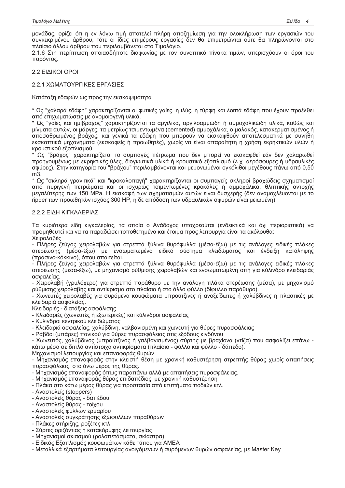μονάδας, ορίζει ότι η εν λόγω τιμή αποτελεί πλήρη αποζημίωση για την ολοκλήρωση των εργασιών του συγκεκριμένου άρθρου, τότε οι ίδιες επιμέρους εργασίες δεν θα επιμετρώνται ούτε θα πληρώνονται στο πλαίσιο άλλου άρθρου που περιλαμβάνεται στο Τιμολόγιο.

2.1.6 Στη περίπτωση οποιασδήποτε διαφωνίας με τον συνοπτικό πίνακα τιμών, υπερισχύουν οι όροι του παρόντος.

2.2 EIAIKOI OPOI

# 2.2.1 ΧΟΜΑΤΟΥΡΓΙΚΕΣ ΕΡΓΑΣΙΕΣ

Κατάταξη εδαφών ως προς την εκσκαψιμότητα

\* Ως "χαλαρά εδάφη" χαρακτηρίζονται οι φυτικές γαίες, η ιλύς, η τύρφη και λοιπά εδάφη που έχουν προέλθει από επιχωματώσεις με ανομοιογενή υλικά.

\* Ως "γαίες και ημίβραχος" χαρακτηρίζονται τα αργιλικά, αργιλοαμμώδη ή αμμοχαλικώδη υλικά, καθώς και μίγματα αυτών, οι μάργες, τα μετρίως τσιμεντωμένα (cemented) αμμοχάλικα, ο μαλακός, κατακερματισμένος ή αποσαθρωμένος βράχος, και γενικά τα εδάφη που μπορούν να εκσκαφθούν αποτελεσματικά με συνήθη εκσκαπτικά μηχανήματα (εκσκαφείς ή προωθητές), χωρίς να είναι απαραίτητη η χρήση εκρηκτικών υλών ή κρουστικού εξοπλισμού.

. Ως "βράχος" χαρακτηρίζεται το συμπαγές πέτρωμα που δεν μπορεί να εκσκαφθεί εάν δεν χαλαρωθεί προηγουμένως με εκρηκτικές ύλες, διογκωτικά υλικά ή κρουστικό εξοπλισμό (λ.χ. αερόσφυρες ή υδραυλικές σφύρες). Στην κατηγορία του "βράχου" περιλαμβάνονται και μεμονωμένοι ογκόλιθοι μεγέθους πάνω από 0,50 m3.

\* Ως "σκληρά γρανιτικά" και "κροκαλοπαγή" χαρακτηρίζονται οι συμπαγείς σκληροί βραχώδεις σχηματισμοί από πυριγενή πετρώματα και οι ισχυρώς τσιμεντωμένες κροκάλες ή αμμοχάλικα, θλιπτικής αντοχής μεγαλύτερης των 150 MPa. Η εκσκαφή των σχηματισμών αυτών είναι δυσχερής (δεν αναμοχλέυονται με το ripper των προωθητών ισχύος 300 HP, η δε απόδοση των υδραυλικών σφυρών είναι μειωμένη)

# 2.2.2 ΕΙΔΗ ΚΙΓΚΑΛΕΡΙΑΣ

Τα κυριότερα είδη κιγκαλερίας, τα οποία ο Ανάδοχος υποχρεούται (ενδεικτικά και όχι περιοριστικά) να προμηθευτεί και να τα παραδώσει τοποθετημένα και έτοιμα προς λειτουργία είναι τα ακόλουθα: Χειρολαβές

- Πλήρες ζεύγος χειρολαβών για στρεπτά ξύλινα θυρόφυλλα (μέσα-έξω) με τις ανάλογες ειδικές πλάκες στερέωσης (μέσα-έξω) με ενσωματωμένο ειδικό σύστημα κλειδώματος και ένδειξη κατάληψης (πράσινο-κόκκινο), όπου απαιτείται,

- Πλήρες ζεύγος χειρολαβών για στρεπτά ξύλινα θυρόφυλλα (μέσα-έξω) με τις ανάλογες ειδικές πλάκες στερέωσης (μέσα-έξω), με μηχανισμό ρύθμισης χειρολαβών και ενσωματωμένη οπή νια κύλινδρο κλειδαριάς ασφαλείας.

- Χειρολαβή (γρυλόχερο) για στρεπτό παράθυρο με την ανάλογη πλάκα στερέωσης (μέσα), με μηχανισμό ρύθμισης χειρολαβής και αντίκρισμα στο πλαίσιο ή στο άλλο φύλλο (δίφυλλο παράθυρο).

- Χωνευτές χειρολαβές νια συρόμενα κουφώματα μπρούτζινες ή ανοξείδωτες ή χαλύβδινες ή πλαστικές με κλειδαριά ασφαλείας.

Κλειδαριές - διατάξεις ασφάλισης

- Κλειδαριές (χωνευτές ή εξωτερικές) και κύλινδροι ασφαλείας

- Κύλινδροι κεντρικού κλειδώματος

- Κλειδαριά ασφαλείας, χαλύβδινη, γαλβανισμένη και χωνευτή για θύρες πυρασφάλειας

- Ράβδοι (μπάρες) πανικού για θύρες πυρασφάλειας στις εξόδους κινδύνου

- Χωνευτός, χαλύβδινος (μπρούτζινος ή γαλβανισμένος) σύρτης με βραχίονα (ντίζα) που ασφαλίζει επάνω κάτω μέσα σε διπλά αντίστοιχα αντικρίσματα (πλαίσιο - φύλλο και φύλλο - δάπεδο).

Μηχανισμοί λειτουργίας και επαναφοράς θυρών

- Μηχανισμός επαναφοράς στην κλειστή θέση με χρονική καθυστέρηση στρεπτής θύρας χωρίς απαιτήσεις πυρασφάλειας, στο άνω μέρος της θύρας.

- Μηχανισμός επαναφοράς όπως παραπάνω αλλά με απαιτήσεις πυρασφάλειας.

- Μηχανισμός επαναφοράς θύρας επιδαπέδιος, με χρονική καθυστέρηση

- Πλάκα στο κάτω μέρος θύρας για προστασία από κτυπήματα ποδιών κτλ.

- Αναστολείς (stoppers)

- Αναστολείς θύρας - δαπέδου

- Αναστολείς θύρας - τοίχου

- Αναστολείς φύλλων ερμαρίου

- Αναστολείς συγκράτησης εξώφυλλων παραθύρων

- Πλάκες στήριξης, ροζέτες κτλ

- Σύρτες οριζόντιας ή κατακόρυφης λειτουργίας

- Μηχανισμοί σκιασμού (ρολοπετάσματα, σκίαστρα)

- Ειδικός Εξοπλισμός κουφωμάτων κάθε τύπου για ΑΜΕΑ

- Μεταλλικά εξαρτήματα λειτουργίας ανοιγόμενων ή συρόμενων θυρών ασφαλείας, με Master Key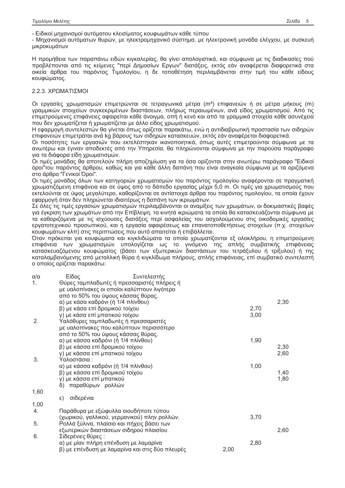- Ειδικοί μηχανισμοί αυτόματου κλεισίματος κουφωμάτων κάθε τύπου

- Μηχανισμοί αυτόματων θυρών, με ηλεκτρομηχανικό σύστημα, με ηλεκτρονική μονάδα ελέγχου, με συσκευή μικροκυμάτων

Η προμήθεια των παραπάνω ειδών κιγκαλερίας, θα γίνει απολογιστικά, και σύμφωνα με τις διαδικασίες πού προβλέπονται από τις κείμενες "περί Δημοσίων Εργων" διατάξεις, εκτός εάν αναφέρεται διαφορετικά στα οικεία άρθρα του παρόντος Τιμολογίου, η δε τοποθέτηση περιλαμβάνεται στην τιμή του κάθε είδους κουφώματος.

# 2.2.3. ΧΡΩΜΑΤΙΣΜΟΙ

Οι εργασίες χρωματισμών επιμετρώνται σε τετραγωνικά μέτρα (m<sup>2</sup>) επιφανειών ή σε μέτρα μήκους (m) γραμμικών στοιχείων συγκεκριμένων διαστάσεων, πλήρως περαιωμένων, ανά είδος χρωματισμού. Από τις επιμετρούμενες επιφάνειες αφαιρείται κάθε άνοιγμα, οπή ή κενό και από τα γραμμικά στοιχεία κάθε ασυνέχεια που δεν χρωματίζεται ή χρωματίζεται με άλλο είδος χρωματισμού.

Η εφαρμογή συντελεστών θα γίνεται όπως ορίζεται παρακάτω, ενώ η αντιδιαβρωτική προστασία των σιδηρών επιφανειών επιμετράται ανά kg βάρους των σιδηρών κατασκευών, εκτός εάν αναφέρεται διαφορετικά.

Οι ποσότητες των εργασιών που εκτελέστηκαν ικανοποιητικά, όπως αυτές επιμετρούνται σύμφωνα με τα ανωτέρω και έγιναν αποδεκτές από την Υπηρεσία, θα πληρώνονται σύμφωνα με την παρούσα παράγραφο για τα διάφορα είδη χρωματισμών.

Οι τιμές μονάδας θα αποτελούν πλήρη αποζημίωση για τα όσα ορίζονται στην ανωτέρω παράγραφο "Ειδικοί όροι"του παρόντος άρθρου, καθώς και για κάθε άλλη δαπάνη που είναι αναγκαία σύμφωνα με τα οριζόμενα στο άρθρο "Γενικοί Όροι".

Οι τιμές μονάδος όλων των κατηγοριών χρωματισμών του παρόντος τιμολογίου αναφέρονται σε πραγματική χρωματιζόμενη επιφάνεια και σε ύψος από το δάπεδο εργασίας μέχρι 5,0 m. Οι τιμές για χρωματισμούς που εκτελούνται σε ύψος μεγαλύτερο, καθορίζονται σε αντίστοιχα άρθρα του παρόντος τιμολογίου, τα οποία έχουν εφαρμογή όταν δεν πληρώνεται ιδιαιτέρως η δαπάνη των ικριωμάτων.

Σε όλες τις τιμές εργασιών χρωματισμών περιλαμβάνονται οι αναμίξεις των χρωμάτων, οι δοκιμαστικές βαφές για έγκριση των χρωμάτων από την Επίβλεψη, τα κινητά ικριώματα τα οποία θα κατασκευάζονται σύμφωνα με τα καθοριζόμενα με τις ισχύουσες διατάξεις περί ασφαλείας του ασχολούμενου στις οικοδομικές εργασίες εργατοτεχνικού προσωπικού, και η εργασία αφαιρέσεως και επανατοποθετήσεως στοιχείων (π.χ. στοιχείων κουφωμάτων κλπ) στις περιπτώσεις που αυτό απαιτείται ή επιβάλλεται.

Όταν πρόκειται για κουφώματα και κιγκλιδώματα τα οποία χρωματίζονται εξ ολοκλήρου, η επιμετρούμενη επιφάνεια των χρωματισμών υπολογίζεται ως το γινόμενο της απλής συμβατικής επιφάνειας κατασκευαζόμενου κουφώματος (βάσει των εξωτερικών διαστάσεων του τετράξυλου ή τρίξυλου) ή της καταλαμβανόμενης από μεταλλική θύρα ή κιγκλίδωμα πλήρους, απλής επιφάνειας, επί συμβατικό συντελεστή ο οποίος ορίζεται παρακάτω:

| α/α  | Είδος<br>Συντελεστής                            |      |      |      |  |  |  |
|------|-------------------------------------------------|------|------|------|--|--|--|
| 1.   | Θύρες ταμπλαδωτές ή πρεσσαριστές πλήρεις ή      |      |      |      |  |  |  |
|      | με υαλοπίνακες οι οποίοι καλύπτουν λιγότερο     |      |      |      |  |  |  |
|      | από το 50% του ύψους κάσσας θύρας.              |      |      |      |  |  |  |
|      | α) με κάσα καδρόνι (ή 1/4 πλίνθου)              |      |      | 2,30 |  |  |  |
|      | β) με κάσα επί δρομικού τοίχου                  |      | 2,70 |      |  |  |  |
|      | γ) με κάσα επί μπατικού τοίχου                  |      | 3,00 |      |  |  |  |
| 2.   | Υαλόθυρες ταμπλαδωτές ή πρεσσαριστές            |      |      |      |  |  |  |
|      | με υαλοπίνακες που καλύπτουν περισσότερο        |      |      |      |  |  |  |
|      | από το 50% του ύψους κάσσας θύρας.              |      |      |      |  |  |  |
|      | α) με κάσσα καδρόνι (ή 1/4 πλίνθου)             |      | 1,90 |      |  |  |  |
|      | β) με κάσσα επί δρομικού τοίχου                 |      | 2,30 |      |  |  |  |
|      | γ) με κάσσα επί μπατικού τοίχου                 |      |      | 2,60 |  |  |  |
| 3.   | Υαλοστάσια :                                    |      |      |      |  |  |  |
|      | α) με κάσσα καδρόνι (ή 1/4 πλίνθου)             |      | 1,00 |      |  |  |  |
|      | β) με κάσσα επί δρομικού τοίχου                 |      |      | 1,40 |  |  |  |
|      | γ) με κάσσα επί μπατικού                        |      |      | 1,80 |  |  |  |
|      | δ) παραθύρων ρολλών                             |      |      |      |  |  |  |
| 1,60 |                                                 |      |      |      |  |  |  |
|      | σιδερένια<br>ε)                                 |      |      |      |  |  |  |
| 1,00 |                                                 |      |      |      |  |  |  |
| 4.   | Παράθυρα με εξώφυλλα οιουδήποτε τύπου           |      |      |      |  |  |  |
|      | (χωρικού, γαλλικού, γερμανικού) πλην ρολλών.    |      | 3,70 |      |  |  |  |
| 5.   | Ρολλά ξύλινα, πλαίσιο και πήχεις βάσει των      |      |      |      |  |  |  |
|      | εξωτερικών διαστάσεων σιδηρού πλαισίου          |      |      | 2,60 |  |  |  |
| 6.   | Σιδερένιες θύρες:                               |      |      |      |  |  |  |
|      | α) με μίαν πλήρη επένδυση με λαμαρίνα           |      | 2,80 |      |  |  |  |
|      | β) με επένδυση με λαμαρίνα και στις δύο πλευρές | 2,00 |      |      |  |  |  |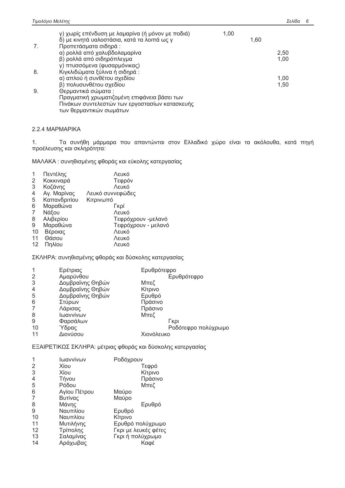| 7. | γ) χωρίς επένδυση με λαμαρίνα (ή μόνον με ποδιά)<br>δ) με κινητά υαλοστάσια, κατά τα λοιπά ως γ<br>Προπετάσματα σιδηρά : | 1.00 | 1,60 |      |
|----|--------------------------------------------------------------------------------------------------------------------------|------|------|------|
|    | α) ρολλά από χαλυβδολαμαρίνα                                                                                             |      |      | 2,50 |
|    | β) ρολλά από σιδηρόπλεγμα                                                                                                |      |      | 1,00 |
|    | γ) πτυσσόμενα (φυσαρμόνικας)                                                                                             |      |      |      |
| 8. | Κιγκλιδώματα ξύλινα ή σιδηρά:                                                                                            |      |      |      |
|    | α) απλού ή συνθέτου σχεδίου                                                                                              |      |      | 1,00 |
|    | β) πολυσυνθέτου σχεδίου                                                                                                  |      |      | 1,50 |
| 9. | Θερμαντικά σώματα :                                                                                                      |      |      |      |
|    | Πραγματική χρωματιζομένη επιφάνεια βάσει των                                                                             |      |      |      |
|    | Πινάκων συντελεστών των εργοστασίων κατασκευής                                                                           |      |      |      |
|    | των θερμαντικών σωμάτων                                                                                                  |      |      |      |

# 2.2.4 MAPMAPIKA

 $1.$ Τα συνήθη μάρμαρα που απαντώνται στον Ελλαδικό χώρο είναι τα ακόλουθα, κατά πηγή προέλευσης και σκληρότητα:

ΜΑΛΑΚΑ: συνηθισμένης φθοράς και εύκολης κατεργασίας

|    | Πεντέλης     | Λευκό               |
|----|--------------|---------------------|
| 2  | Κοκκιναρά    | Τεφρόν              |
| 3  | Κοζάνης      | Λευκό               |
| 4  | Αγ. Μαρίνας  | Λευκό συννεφώδες    |
| 5  | Καπανδριτίου | Κιτρινωπό           |
| 6  | Μαραθώνα     | Гкрі                |
| 7  | Νάξου        | Λευκό               |
| 8  | Αλιβερίου    | Τεφρόχρουν -μελανό  |
| 9  | Μαραθώνα     | Τεφρόχρουν - μελανό |
| 10 | Βέροιας      | Λευκό               |
| 11 | Θάσου        | Λευκό               |
| 12 | Πηλίου       | Λευκό               |

ΣΚΛΗΡΑ: συνηθισμένης φθοράς και δύσκολης κατεργασίας

| Ερέτριας         | Ερυθρότεφρο         |
|------------------|---------------------|
| Αμαρύνθου        | Ερυθρότεφρο         |
| Δομβραϊνης Θηβών | Μπεζ                |
| Δομβραϊνης Θηβών | Κίτρινο             |
| Δομβραϊνης Θηβών | Ερυθρό              |
| Στύρων           | Πράσινο             |
| Λάρισας          | Πράσινο             |
| Ιωαννίνων        | Μπεζ                |
| Φαρσάλων         | Гкрі                |
| Ύδρας            | Ροδότεφρο πολύχρωμο |
| Διονύσου         | Χιονόλευκο          |
|                  |                     |

ΕΞΑΙΡΕΤΙΚΩΣ ΣΚΛΗΡΑ: μέτριας φθοράς και δύσκολης κατεργασίας

|    | Ιωαννίνων    | Ροδόχρουν            |
|----|--------------|----------------------|
| 2  | Xíou         | Τεφρό                |
| 3  | Xíou         | Κίτρινο              |
| 4  | Τήνου        | Πράσινο              |
| 5  | Ρόδου        | Μπεζ                 |
| 6  | Αγίου Πέτρου | Μαύρο                |
| 7  | Βυτίνας      | Μαύρο                |
| 8  | Μάνης        | Ερυθρό               |
| 9  | Ναυπλίου     | Ερυθρό               |
| 10 | Ναυπλίου     | Κίτρινο              |
| 11 | Μυτιλήνης    | Ερυθρό πολύχρωμο     |
| 12 | Τρίπολης     | Γκρι με λευκές φέτες |
| 13 | Σαλαμίνας    | Γκρι ή πολύχρωμο     |
| 14 | Αράχωβας     | Καφέ                 |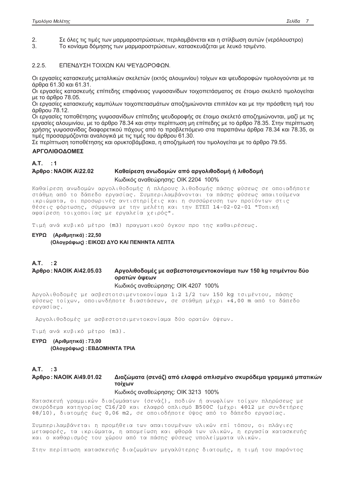Σε όλες τις τιμές των μαρμαροστρώσεων, περιλαμβάνεται και η στίλβωση αυτών (νερόλουστρο)  $2<sub>1</sub>$ 

Το κονίαμα δόμησης των μαρμαροστρώσεων, κατασκευάζεται με λευκό τσιμέντο.  $\mathcal{R}$ 

 $2.2.5.$ ΕΠΕΝΔΥΣΗ ΤΟΙΧΩΝ ΚΑΙ ΨΕΥΔΟΡΟΦΩΝ.

Οι εργασίες κατασκευής μεταλλικών σκελετών (εκτός αλουμινίου) τοίχων και ψευδοροφών τιμολογούνται με τα άρθρα 61.30 και 61.31.

Οι εργασίες κατασκευής επίπεδης επιφάνειας γυψοσανίδων τοιχοπετάσματος σε έτοιμο σκελετό τιμολογείται με το άρθρο 78.05.

Οι εργασίες κατασκευής καμπύλων τοιχοπετασμάτων αποζημιώνονται επιπλέον και με την πρόσθετη τιμή του άρθρου 78.12.

Οι εργασίες τοποθέτησης γυψοσανίδων επίπεδης ψευδοροφής σε έτοιμο σκελετό αποζημιώνονται, μαζί με τις εργασίες αλουμινίου, με το άρθρο 78.34 και στην περίπτωση μη επίπεδης με το άρθρο 78.35. Στην περίπτωση χρήσης γυψοσανίδας διαφορετικού πάχους από το προβλεπόμενο στα παραπάνω άρθρα 78.34 και 78.35, οι τιμές προσαρμόζονται αναλογικά με τις τιμές του άρθρου 61.30.

Σε περίπτωση τοποθέτησης και ορυκτοβάμβακα, η αποζημίωσή του τιμολογείται με το άρθρο 79.55.

## **ΑΡΓΟΛΙΘΟΔΟΜΕΣ**

A.T.  $\therefore$  1

#### Άρθρο: ΝΑΟΙΚ Α\22.02 Καθαίρεση ανωδομών από αρνολιθοδομή ή λιθοδομή

Κωδικός αναθεώρησης: ΟΙΚ 2204 100%

Καθαίρεση ανωδομών αργολιθοδομής ή πλήρους λιθοδομής πάσης φύσεως σε οποιαδήποτε στάθμη από το δάπεδο εργασίας. Συμπεριλαμβάνονται τα πάσης φύσεως απαιτούμενα ικριώματα, οι προσωρινές αντιστηρίξεις και η συσσώρευση των προϊόντων στις θέσεις φόρτωσης, σύμφωνα με την μελέτη και την ΕΤΕΠ 14-02-02-01 "Τοπική αφαίρεση τοιχοποιίας με εργαλεία χειρός".

Τιμή ανά κυβικό μέτρο (m3) πραγματικού όγκου προ της καθαιρέσεως.

ΕΥΡΩ (Αριθμητικά): 22,50 (Ολογράφως) : ΕΙΚΟΣΙ ΔΥΟ ΚΑΙ ΠΕΝΗΝΤΑ ΛΕΠΤΑ

# $A.T.$ : 2

### Άρθρο: ΝΑΟΙΚ Α\42.05.03 Αργολιθοδομές με ασβεστοτσιμεντοκονίαμα των 150 kg τσιμέντου δύο ορατών όψεων

### Κωδικός αναθεώρησης: ΟΙΚ 4207 100%

Αργολιθοδομές με ασβεστοτσιμεντοκονίαμα 1:2 1/2 των 150 kg τσιμέντου, πάσης φύσεως τοίχων, οποιωνδήποτε διαστάσεων, σε στάθμη μέχρι +4,00 m από το δάπεδο εργασίας.

Αργολιθοδομές με ασβεστοτσιμεντοκονίαμα δύο ορατών όψεων.

Τιμή ανά κυβικό μέτρο (m3).

# ΕΥΡΩ (Αριθμητικά): 73.00 (Ολογράφως) : ΕΒΔΟΜΗΝΤΑ ΤΡΙΑ

 $A.T.$ : 3

Άρθρο: ΝΑΟΙΚ Α\49.01.02

# Διαζώματα (σενάζ) από ελαφρά οπλισμένο σκυρόδεμα γραμμικά μπατικών τοίχων

## Κωδικός αναθεώρησης: ΟΙΚ 3213 100%

Κατασκευή γραμμικών διαζωμάατων (σενάζ), ποδιών ή ανωφλίων τοίχων πληρώσεως με σκυρόδεμα κατηγορίας C16/20 και ελαφρό οπλισμό B500C (μέχρι 4Φ12 με συνδετήρες Φ8/10), διατομής έως 0,06 m2, σε οποιοδήποτε ύψος από το δάπεδο εργασίας.

Συμπεριλαμβάνεται η προμήθεια των απαιτουμένων υλικών επί τόπου, οι πλάγιες μεταφορές, τα ικριώματα, η απομείωση και φθορά των υλικών, η εργασία κατασκευής και ο καθαρισμός του χώρου από τα πάσης φύσεως υπολείμματα υλικών.

Στην περίπτωση κατασκευής διαζωμάτων μεγαλύτερης διατομής, η τιμή του παρόντος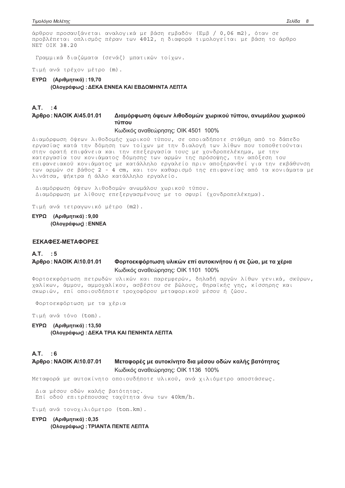άρθρου προσαυξάνεται αναλογικά με βάση εμβαδόν (Εμβ / 0,06 m2), όταν σε προβλέπεται οπλισμός πέραν των 4Φ12, η διαφορά τιμολογείται με βάση το άρθρο NET OIK 38.20

Γραμμικά διαζώματα (σενάζ) μπατικών τοίχων.

Τιμή ανά τρέχον μέτρο (m).

# ΕΥΡΩ (Αριθμητικά): 19,70 (Ολογράφως) : ΔΕΚΑ ΕΝΝΕΑ ΚΑΙ ΕΒΔΟΜΗΝΤΑ ΛΕΠΤΑ

### $A.T.$ : 4 Άρθρο: ΝΑΟΙΚ Α\45.01.01 Διαμόρφωση όψεων λιθοδομών χωρικού τύπου, ανωμάλου χωρικού τύπου

Κωδικός αναθεώρησης: ΟΙΚ 4501 100%

Διαμόρφωση όψεων λιθοδομής χωρικού τύπου, σε οποιαδήποτε στάθμη από το δάπεδο εργασίας κατά την δόμηση των τοίχων με την διαλογή των λίθων που τοποθετούνται στην ορατή επιφάνεια και την επεξεργασία τους με χονδροπελέκημα, με την κατεργασία του κονιάματος δόμησης των αρμών της πρόσοψης, την απόξεση του επιφανειακού κονιάματος με κατάλληλο εργαλείο πριν αποξηρανθεί για την εκβάθυνση των αρμών σε βάθος 2 - 4 cm, και τον καθαρισμό της επιφανείας από τα κονιάματα με λινάτσα, ψήκτρα ή άλλο κατάλληλο εργαλείο.

Διαμόρφωση όψεων λιθοδομών ανωμάλου χωρικού τύπου. Διαμόρφωση με λίθους επεξεργασμένους με το σφυρί (χονδροπελέκημα).

Τιμή ανά τετραγωνικό μέτρο (m2).

ΕΥΡΩ (Αριθμητικά): 9.00 (Ολογράφως) : ΕΝΝΕΑ

# ΕΣΚΑΦΕΣ-ΜΕΤΑΦΟΡΕΣ

#### A.T.  $\therefore$  5 Άρθρο: ΝΑΟΙΚ Α\10.01.01

# Φορτοεκφόρτωση υλικών επί αυτοκινήτου ή σε ζώα, με τα χέρια Κωδικός αναθεώρησης: ΟΙΚ 1101 100%

Φορτοεκφόρτωση πετρωδών υλικών και παρεμφερών, δηλαδή αργών λίθων γενικά, σκύρων, χαλίκων, άμμου, αμμοχαλίκου, ασβέστου σε βώλους, θηραϊκής γης, κίσσηρης και σκωριών, επί οποιουδήποτε τροχοφόρου μεταφορικού μέσου ή ζώου.

Φορτοεκφόρτωση με τα χέρια

Τιμή ανά τόνο (ton).

ΕΥΡΩ (Αριθμητικά): 13.50 (Ολογράφως): ΔΕΚΑ ΤΡΙΑ ΚΑΙ ΠΕΝΗΝΤΑ ΛΕΠΤΑ

### $AT \t6$ Μεταφορές με αυτοκίνητο δια μέσου οδών καλής βατότητας Άρθρο: ΝΑΟΙΚ Α\10.07.01 Κωδικός αναθεώρησης: ΟΙΚ 1136 100%

Μεταφορά με αυτοκίνητο οποιουδήποτε υλικού, ανά χιλιόμετρο αποστάσεως.

Δια μέσου οδών καλής βατότητας. Επί οδού επιτρέπουσας ταχύτητα άνω των 40km/h.

Τιμή ανά τονοχιλιόμετρο (ton.km).

# ΕΥΡΩ (Αριθμητικά): 0,35 (Ολογράφως) : ΤΡΙΑΝΤΑ ΠΕΝΤΕ ΛΕΠΤΑ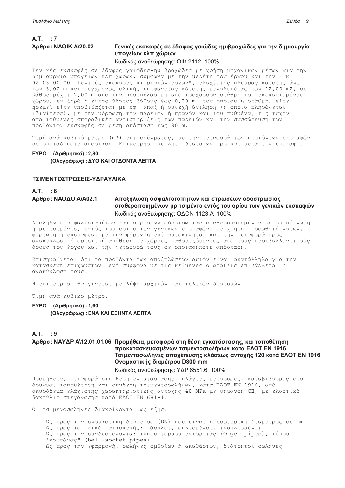# $A.T.$ : 7 Άρθρο: ΝΑΟΙΚ Α\20.02

# Γενικές εκσκαφές σε έδαφος γαιώδες-ημιβραχώδες για την δημιουργία υπογείων κλπ χώρων

# Κωδικός αναθεώρησης: ΟΙΚ 2112 100%

Γενικές εκσκαφές σε έδαφος γαιώδες-ημιβραχώδες με χρήση μηχανικών μέσων για την δημιουργία υπογείων κλπ χώρων, σύμφωνα με την μελέτη του έργου και την ΕΤΕΠ 02-03-00-00 "Γενικές εκσκαφές κτιριακών έργων", ελαχίστης πλευράς κάτοψης άνω των 3,00 m και συγχρόνως ολικής επιφανείας κάτοψης μεγαλυτέρας των 12,00 m2, σε βάθος μέχρι 2,00 m από την προσπελάσιμη από τροχοφόρα στάθμη του εκσκαπτομένου χώρου, εν ξηρώ ή εντός ύδατος βάθους έως 0,30 m, του οποίου η στάθμη, είτε<br>ηρεμεί είτε υποβιβάζεται με εφ' άπαξ ή συνεχή άντληση (η οποία πληρώνεται ιδιαίτερα), με την μόρφωση των παρειών ή πρανών και του πυθμένα, τις τυχόν απαιτούμενες σποραδικές αντιστηρίξεις των παρειών και την συσσώρευση των προϊόντων εκσκαφής σε μέση απόσταση έως 30 m.

Τιμή ανά κυβικό μέτρο (m3) επί ορύγματος, με την μεταφορά των προϊόντων εκσκαφών σε οποιαδήποτε απόσταση. Επιμέτρηση με λήψη διατομών προ και μετά την εκσκαφή.

# ΕΥΡΩ (Αριθμητικά): 2,80 (Ολογράφως) : ΔΥΟ ΚΑΙ ΟΓΔΟΝΤΑ ΛΕΠΤΑ

## ΤΣΙΜΕΝΤΟΣΤΡΩΣΕΙΣ-ΥΔΡΑΥΛΙΚΑ

### $A.T. : 8$ Άρθρο: ΝΑΟΔΟ ΑΙΑ02.1 Αποξηλωση ασφαλτοταπήτων και στρώσεων οδοστρωσίας σταθεροποιημένων μρ τσιμέντο εντός του ορίου των γενικών εκσκαφών Κωδικός αναθεώρησης: ΟΔΟΝ 1123.Α 100%

Αποξήλωση ασφαλτοταπήτων και στρώσεων οδοστρωσίας σταθεροποιημένων με συμπύκνωση ή με τσιμέντο, εντός του ορίου των γενικών εκσκαφών, με χρήση προωθητή γαιών, φορτωτή ή εκσκαφέα, με την φόρτωση επί αυτοκινήτου και την μεταφορά προς ανακύκλωση ή οριστική απόθεση σε χώρους καθοριζόμενους από τους περιβαλλοντικούς όρους του έργου και την νεταφορά τους σε οποιαδήποτε απόσταση.

Επισημαίνεται ότι τα προϊόντα των αποξηλώσεων αυτών είναι ακατάλληλα για την κατασκευή επιχωμάτων, ενώ σύμφωνα με τις κείμενες διατάξεις επιβάλλεται η ανακύκλωσή τους.

Η επιμέτρηση θα γίνεται με λήψη αρχικών και τελικών διατομών.

Τιμή ανά κυβικό μέτρο.

ΕΥΡΩ (Αριθμητικά): 1,60 (Ολογράφως) : ΕΝΑ ΚΑΙ ΕΞΗΝΤΑ ΛΕΠΤΑ

## $A.T.$ : 9

# Άρθρο: ΝΑΥΔΡ Α\12.01.01.06 Προμήθεια, μεταφορά στη θέση εγκατάστασης, και τοποθέτηση προκατασκευασμένων τσιμεντοσωλήνων κατα ΕΛΟΤ ΕΝ 1916 Τσιμεντοσωλήνες αποχέτευσης κλάσεως αντοχής 120 κατά ΕΛΟΤ ΕΝ 1916 Ονομαστικής διαμέτρου D800 mm

# Κωδικός αναθεώρησης: ΥΔΡ 6551.6 100%

Προμήθεια, μεταφορά στη θέση εγκατάστασης, πλάγιες μεταφορές, καταβιβασμός στο όρυγμα, τοποθέτηση και σύνδεση τσιμεντοσωλήνων, κατά ΕΛΟΤ EN 1916, από σκυρόδεμα ελάχιστης χαρακτηριστικής αντοχής 40 MPa με σήμανση CE, με ελαστικό δακτύλιο στεγάνωσης κατά ΕΛΟΤ EN 681-1.

Οι τσιμενοσωλήνες διακρίνονται ως εξής:

Ως προς την ονομαστική διάμετρο (DN) που είναι η εσωτερική διάμετρος σε mm Ως προς το υλικό κατασκευής: άοπλοι, οπλισμένοι, ινοπλισμένοι Ως προς την συνδεσμολογία: τύπου τόρμου-εντορμίας (0-qee pipes), τύπου "καμπάνας" (bell-sochet pipes) Ως προς την εφαρμογή: σωλήνες ομβρίων ή ακαθάρτων, διάτρητοι σωλήνες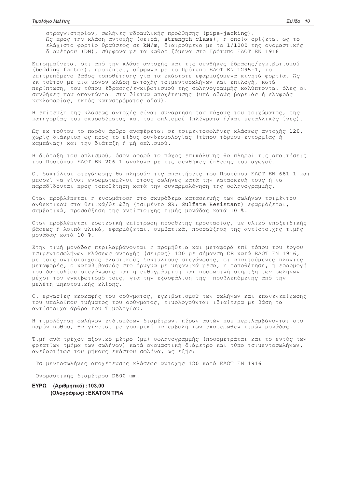στραγγιστηρίων, σωλήνες υδραυλικής προώθησης (pipe-jacking). Ως προς την κλάση αντοχής (σειρά, strength class), η οποία ορίζεται ως το<br>ελάχιστο φορτίο θραύσεως σε kN/m, διαιρούμενο με το 1/1000 της ονομαστικής διαμέτρου (DN), σύμφωνα με τα καθοριζόμενα στο Πρότυπο ΕΛΟΤ EN 1916

Επισημαίνεται ότι από την κλάση αντοχής και τις συνθήκες έδρασης/εγκιβωτισμού (bedding factor), προκύπτει, σύμφωνα με το Πρότυπο ΕΛΟΤ ΕΝ 1295-1, το επιτρεπόμενο βάθος τοποθέτησης για τα εκάστοτε εφαρμοζόμενα κινητά φορτία. Ως εκ τούτου με μια μόνον κλάση αντοχής τσιμεντοσωλήνων και επιλογή, κατά περίπτωση, του τύπου έδρασης/εγκιβωτισμού της σωληνογραμμής καλύπτονται όλες οι συνθήκες που απαντώνται στα δίκτυα αποχέτευσης (υπό οδούς βαρειάς ή ελαφράς κυκλοφορίας, εκτός καταστρώματος οδού).

Η επίτευξη της κλάσεως αντοχής είναι συνάρτηση του πάχους του τοιχώματος, της κατηνορίας του σκυροδέματος και του οπλισμού (πλένματα ή/και μεταλλικές ίνες).

Ως εκ τούτου το παρόν άρθρο αναφέρεται σε τσιμεντοσωλήνες κλάσεως αντοχής 120, χωρίς διάκριση ως προς το είδος συνδεσμολογίας (τύπου τόρμου-εντορμίας ή καμπάνας) και την διάταξη ή μή οπλισμού.

Η διάταξη του οπλισμού, όσον αφορά το πάχος επικάλυψης θα πληροί τις απαιτήσεις του Προτύπου ΕΛΟΤ ΕΝ 206-1 ανάλογα με τις συνθήκες έκθεσης του αγωγού.

Οι δακτύλιοι στεγάνωσης θα πληρούν τις απαιτήσεις του Προτύπου ΕΛΟΤ ΕΝ 681-1 και μπορεί να είναι ενσωματωμένοι στους σωλήνες κατά την κατασκευή τους ή να παραδίδονται προς τοποθέτηση κατά την συναρμολόγηση της σωληνογραμμής.

Οταν προβλέπεται η ενσωμάτωση στο σκυρόδεμα κατασκευής των σωλήνων τσιμέντου ανθεκτικού στα θειικά/θειώδη (τσιμέντο SR: Sulfate Resistant) εφαρμόζεται, συμβατικά, προσαύξηση της αντίστοιχης τιμής μονάδας κατά 10 %.

Οταν προβλέπεται εσωτερική επίστρωση πρόσθετης προστασίας, με υλικό εποξειδικής βάσεως ή λοιπά υλικά, εφαρμόζεται, συμβατικά, προσαύξηση της αντίστοιχης τιμής μονάδας κατά 10 %.

Στην τιμή μονάδας περιλαμβάνονται η προμήθεια και μεταφορά επί τόπου του έργου τσιμεντοσωλήνων κλάσεως αντοχής (σειρας) 120 με σήμανση CE κατά ΕΛΟΤ ΕΝ 1916, με τους αντίστοιχους ελαστικούς δακτυλίους στεγάνωσης, οι απαιτούμενες πλάγιες μεταφορές, ο καταβιβασμός στο όρυγμα με μηχανικά μέσα, η τοποθέτηση, η εφαρμογή του δακτυλίου στεγάνωσης και η ευθυγράμμιση και προσωρινή στήριξη των σωλήνων μέχρι τον εγκιβωτισμό τους, για την εξασφάλιση της προβλεπόμενης από την μελέτη μηκοτομικής κλίσης.

Οι εργασίες εκσκαφής του ορύγματος, εγκιβωτισμού των σωλήνων και επανενεπίχωσης του υπολοίπου τμήματος του ορύγματος, τιμολογούνται ιδιαίτερα με βάση τα αντίστοιχα άρθρα του Τιμολογίου.

Η τιμολόγηση σωλήνων ενδιαμέσων διαμέτρων, πέραν αυτών που περιλαμβάνονται στο παρόν άρθρο, θα γίνεται με γραμμική παρεμβολή των εκατέρωθεν τιμών μονάδας.

Τιμή ανά τρέχον αξονικό μέτρο (μμ) σωληνογραμμής (προσμετράται και το εντός των φρεατίων τμήμα των σωλήνων) κατά ονομαστική διάμετρο και τύπο τσιμεντοσωλήνων, ανεξαρτήτως του μήκους εκάστου σωλήνα, ως εξής:

Τσιμεντοσωλήνες αποχέτευσης κλάσεως αντοχής 120 κατά ΕΛΟΤ ΕΝ 1916

Ονομαστικής διαμέτρου D800 mm.

# ΕΥΡΩ (Αριθμητικά): 103,00 (Ολογράφως) : ΕΚΑΤΟΝ ΤΡΙΑ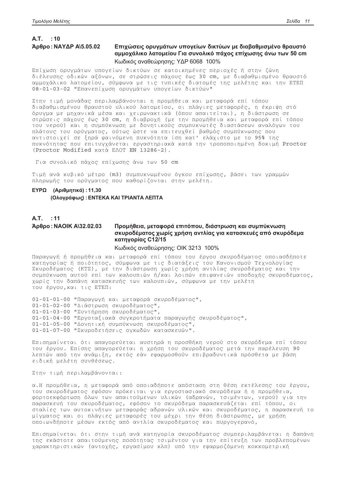# A.T. : 10 Άρθρο: ΝΑΥΔΡ Α\5.05.02

# Επιχώσεις ορυγμάτων υπογείων δικτύων με διαβαθμισμένο θραυστό αμμοχάλικο λατομείου Για συνολικό πάχος επίχωσης άνω των 50 cm Κωδικός αναθεώρησης: ΥΔΡ 6068 100%

Επίχωση ορυγμάτων υπογείων δικτύων σε κατοικημένες περιοχές ή στην ζώνη διέλευσης οδικών αξόνων, σε στρώσεις πάχους έως 30 cm, με διαβαθμισμένο θραυστό αμμοχάλικο λατομείου, σύμφωνα με τις τυπικές διατομές της μελέτης και την ΕΤΕΠ 08-01-03-02 "Επανεπίχωση ορυγμάτων υπογείων δικτύων"

Στην τιμή μονάδας περιλαμβάνονται η προμήθεια και μεταφορά επί τόπου διαβαθμισμένου θραυστού υλικού λατομείου, οι πλάγιες μεταφορές, η έκριψη στό<br>όρυγμα με μηχανικά μέσα και χειρωνακτικά (όπου απαιτείται), η διάστρωση σε στρώσεις πάχους έως 30 cm, η διαβροχή (με την προμήθεια και μεταφορά επί τόπου του νερού) και η συμπύκνωση με δονητικούς συμπυκνωτές διαστάσεων αναλόγων του πλάτους του ορύγματος, ούτως ώστε να επιτευχθεί βαθμός συμπύκνωσης που αντιστοιχεί σε ξηρά φαινόμενη πυκνότητα ίση κατ' ελάχιστο με το 95% της πυκνότητας που επιτυγχάνεται εργαστηριακά κατά την τροποποιημένη δοκιμή Proctor (Proctor Modified KQTÁ EAOT EN 13286-2).

Για συνολικό πάχος επίχωσης άνω των 50 cm

Τιμή ανά κυβικό μέτρο (m3) συμπυκνωμένου όγκου επίχωσης, βάσει των γραμμών πληρωμής του ορύγματος που καθορίζονται στην μελέτη.

# ΕΥΡΩ (Αριθμητικά): 11.30 (Ολογράφως) : ΕΝΤΕΚΑ ΚΑΙ ΤΡΙΑΝΤΑ ΛΕΠΤΑ

### A.T. : 11 Άρθρο: ΝΑΟΙΚ Α\32.02.03 Προμήθεια, μεταφορά επιτόπου, διάστρωση και συμπύκνωση σκυροδέματος χωρίς χρήση αντλίας για κατασκευές από σκυρόδεμα κατηγορίας C12/15

### Κωδικός αναθεώρησης: ΟΙΚ 3213 100%

Παραγωγή ή προμήθεια και μεταφορά επί τόπου του έργου σκυροδέματος οποιασδήποτε κατηγορίας ή ποιότητος, σύμφωνα με τις διατάξεις του Κανονισμού Τεχνολογίας Σκυροδέματος (ΚΤΣ), με την διάστρωση χωρίς χρήση αντλίας σκυροδέματος και την συμπύκνωση αυτού επί των καλουπιών ή/και λοιπών επιφανειών υποδοχής σκυροδέματος, χωρίς την δαπάνη κατασκευής των καλουπιών, σύμφωνα με την μελέτη του έργου, και τις ΕΤΕΠ:

01-01-01-00 "Παραγωγή και μεταφορά σκυροδέματος", 01-01-02-00 "Διάστρωση σκυροδέματος", 01-01-03-00 "Συντήρηση σκυροδέματος", 01-01-04-00 "Εργοταξιακά συγκροτήματα παραγωγής σκυροδέματος", 01-01-05-00 "Δονητική συμπύκνωση σκυροδέματος", 01-01-07-00 "Σκυροδετήσεις ογκωδών κατασκευών".

Επισημαίνεται ότι απαγορεύεται αυστηρά η προσθήκη νερού στο σκυρόδεμα επί τόπου του έργου. Επίσης απαγορεύεται η χρήση του σκυροδέματος μετά την παρέλευση 90 λεπτών από την ανάμιξη, εκτός εάν εφαρμοσθούν επιβραδυντικά πρόσθετα με βάση ειδική μελέτη συνθέσεως.

Στην τιμή περιλαμβάνονται:

α.Η προμήθεια, η μεταφορά από οποιαδήποτε απόσταση στη θέση εκτέλεσης του έργου, του σκυροδέματος εφόσον πρόκειται για εργοστασιακό σκυρόδεμα ή η προμήθεια, φορτοεκφόρτωση όλων των απαιτούμενων υλικών (αδρανών, τσιμέντων, νερού) για την παρασκευή του σκυροδέματος, εφόσον το σκυρόδεμα παρασκευάζεται επί τόπου, οι σταλίες των αυτοκινήτων μεταφοράς αδρανών υλικών και σκυροδέματος, η παρασκευή το μίγματος και οι πλάγιες μεταφορές του μέχρι την θέση διάστρωσης, με χρήση οποιωνδήποτε μέσων εκτός από αντλία σκυροδέματος και πυργογερανό,

Επισημαίνεται ότι στην τιμή ανά κατηγορία σκυροδέματος συμπεριλαμβάνεται η δαπάνη της εκάστοτε απαιτούμενης ποσότητας τσιμέντου για την επίτευξη των προβλεπομένων χαρακτηριστικών (αντοχής, εργασίμου κλπ) υπό την εφαρμοζόμενη κοκκομετρική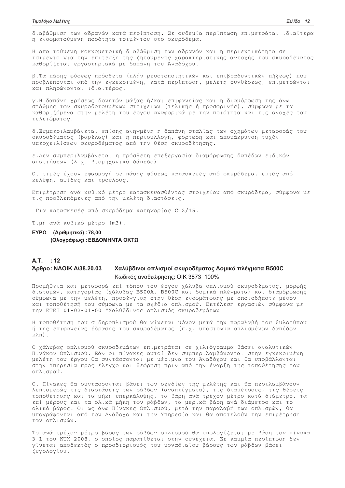διαβάθμιση των αδρανών κατά περίπτωση. Σε ουδεμία περίπτωση επιμετράται ιδιαίτερα η ενσωματούμενη ποσότητα τσιμέντου στο σκυρόδεμα.

Η απαιτούμενη κοκκομετρική διαβάθμιση των αδρανών και η περιεκτικότητα σε τσιμέντο για την επίτευξη της ζητούμενης χαρακτηριστικής αντοχής του σκυροδέματος καθορίζεται εργαστηριακά με δαπάνη του Αναδόχου.

β.Τα πάσης φύσεως πρόσθετα (πλήν ρευστοποιητικών και επιβραδυντικών πήξεως) που προβλέπονται από την εγκεκριμένη, κατά περίπτωση, μελέτη συνθέσεως, επιμετρώνται και πληρώνονται ιδιαιτέρως.

γ.Η δαπάνη χρήσεως δονητών μάζας ή/και επιφανείας και η διαμόρφωση της άνω στάθμης των σκυροδοτουμένων στοιχείων (τελικής ή προσωρινής), σύμφωνα με τα καθοριζόμενα στην μελέτη του έργου αναφορικά με την ποιότητα και τις ανοχές του τελειώματος.

δ.Συμπεριλαμβάνεται επίσης ανηγμένη η δαπάνη σταλίας των οχημάτων μεταφοράς του σκυροδέματος (βαρέλας) και η περισυλλογή, φόρτωση και απομάκρυνση τυχόν υπερχειλίσεων σκυροδέματος από την θέση σκυροδέτησης.

ε.Δεν συμπεριλαμβάνεται η πρόσθετη επεξεργασία διαμόρφωσης δαπέδων ειδικών απαιτήσεων (λ.χ. βιομηχανικό δάπεδο).

Οι τιμές έχουν εφαρμογή σε πάσης φύσεως κατασκευές από σκυρόδεμα, εκτός από κελύφη, αψίδες και τρούλους.

Επιμέτρηση ανά κυβικό μέτρο κατασκευασθέντος στοιχείου από σκυρόδεμα, σύμφωνα με τις προβλεπόμενες από την μελέτη διαστάσεις.

Για κατασκευές από σκυρόδεμα κατηγορίας C12/15.

Τιμή ανά κυβικό μέτρο (m3).

# ΕΥΡΩ (Αριθμητικά): 78,00 (Ολογράφως) : ΕΒΔΟΜΗΝΤΑ ΟΚΤΩ

## A.T. : 12

### Άρθρο: ΝΑΟΙΚ Α\38.20.03 Χαλύβδινοι οπλισμοί σκυροδέματος Δομικά πλέγματα Β500C Κωδικός αναθεώρησης: ΟΙΚ 3873 100%

Προμήθεια και μεταφορά επί τόπου του έργου χάλυβα οπλισμού σκυροδέματος, μορφής διατομών, κατηγορίας (χάλυβας B500A, B500C και δομικά πλέγματα) και διαμόρφωσης σύμφωνα με την μελέτη, προσέγγιση στην θέση ενσωμάτωσης με οποιοδήποτε μέσον και τοποθέτησή του σύμφωνα με τα σχέδια οπλισμού. Εκτέλεση εργασιών σύμφωνα με την ΕΤΕΠ 01-02-01-00 "Χαλύβδινος οπλισμός σκυροδεμάτων"

Η τοποθέτηση του σιδηροπλισμού θα γίνεται μόνον μετά την παραλαβή του ξυλοτύπου ή της επιφανείας έδρασης του σκυροδέματος (π.χ. υπόστρωμα οπλισμένων δαπέδων  $K\lambda\pi)$ .

Ο χάλυβας οπλισμού σκυροδεμάτων επιμετράται σε χιλιόγραμμα βάσει αναλυτικών Πινάκων Οπλισμού. Εάν οι πίνακες αυτοί δεν συμπεριλαμβάνονται στην εγκεκριμένη μελέτη του έργου θα συντάσσονται με μέριμνα του Αναδόχου και θα υποβάλλονται στην Υπηρεσία προς έλεγχο και θεώρηση πριν από την έναρξη της τοποθέτησης του οπλισμού.

Οι Πίνακες θα συντασσονται βάσει των σχεδίων της μελέτης και θα περιλαμβάνουν λεπτομερώς τις διαστάσεις των ράβδων (αναπτύγματα), τις διαμέτρους, τις θέσεις τοποθέτησης και τα μήκη υπερκάλυψης, τα βάρη ανά τρέχον μέτρο κατά διάμετρο, τα επί μέρους και τα ολικά μήκη των ράβδων, τα μερικά βάρη ανά διάμετρο και το ολικό βάρος. Οι ως άνω Πίνακες Οπλισμού, μετά την παραλαβή των οπλισμών, θα υπογράφονται από τον Ανάδοχο και την Υπηρεσία και θα αποτελούν την επιμέτρηση των οπλισμών.

Το ανά τρέχον μέτρο βάρος των ράβδων οπλισμού θα υπολογίζεται με βάση τον πίνακα 3-1 του ΚΤΧ-2008, ο οποίος παρατίθεται στην συνέχεια. Σε καμμία περίπτωση δεν γίνεται αποδεκτός ο προσδιορισμός του μοναδιαίου βάρους των ράβδων βάσει ζυγολογίου.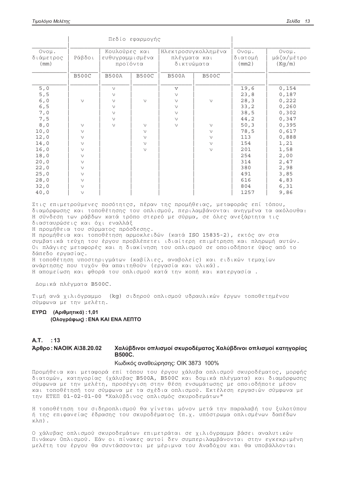|                                                                                     |                                                                                                            | Πεδίο εφαρμογής                                          |                                                   |                                                               |                                                |                                                                              |                                                                                         |
|-------------------------------------------------------------------------------------|------------------------------------------------------------------------------------------------------------|----------------------------------------------------------|---------------------------------------------------|---------------------------------------------------------------|------------------------------------------------|------------------------------------------------------------------------------|-----------------------------------------------------------------------------------------|
| Ovoµ.<br>διάμετρος<br>(mm)                                                          | Κουλούρες και<br>Ράβδοι<br>ευθυγραμμισμένα<br>προϊόντα                                                     |                                                          | Ηλεκτροσυγκολλημένα<br>πλέγματα και<br>δικτυώματα |                                                               | Ovoµ.<br>διατομή<br>(mm2)                      | Ovoµ.<br>μάζα/μέτρο<br>(Kg/m)                                                |                                                                                         |
|                                                                                     | <b>B500C</b>                                                                                               | <b>B500A</b>                                             | <b>B500C</b>                                      | <b>B500A</b>                                                  | <b>B500C</b>                                   |                                                                              |                                                                                         |
| 5,0<br>5, 5<br>$6,0$<br>6, 5<br>7,0<br>7,5                                          | $\vee$                                                                                                     | $\vee$<br>$\vee$<br>$\vee$<br>$\vee$<br>$\vee$<br>$\vee$ | $\vee$                                            | $\mathbf v$<br>$\vee$<br>$\vee$<br>$\vee$<br>$\vee$<br>$\vee$ | $\vee$                                         | 19,6<br>23,8<br>28, 3<br>33, 2<br>38,5<br>44,2                               | 0,154<br>0,187<br>0,222<br>0,260<br>0,302<br>0,347                                      |
| 8,0<br>10,0<br>12,0<br>14,0<br>16,0<br>18,0<br>20,0<br>22,0<br>25,0<br>28,0<br>32,0 | $\vee$<br>$\vee$<br>$\vee$<br>$\vee$<br>$\vee$<br>$\vee$<br>$\vee$<br>$\vee$<br>$\vee$<br>$\vee$<br>$\vee$ | $\vee$                                                   | $\vee$<br>$\vee$<br>$\vee$<br>$\vee$<br>$\vee$    | $\vee$                                                        | $\vee$<br>$\vee$<br>$\vee$<br>$\vee$<br>$\vee$ | 50, 3<br>78,5<br>113<br>154<br>201<br>254<br>314<br>380<br>491<br>616<br>804 | 0,395<br>0,617<br>0,888<br>1,21<br>1,58<br>2,00<br>2,47<br>2,98<br>3,85<br>4,83<br>6,31 |
| 40,0                                                                                | $\vee$                                                                                                     |                                                          |                                                   |                                                               |                                                | 1257                                                                         | 9,86                                                                                    |

Στις επιμετρούμενες ποσότητςσ, πέραν της προμήθειας, μεταφοράς επί τόπου, διαμόρφωσης και τοποθέτησης του οπλισμού, περιλαμβάνονται ανηγμένα τα ακόλουθα: Η σύνδεση των ράβδων κατά τρόπο στερεό με σύρμα, σε όλες ανεξάρτητα τις διασταυρώσεις και όχι εναλλάξ

Η προμήθεια του σύρματος πρόσδεσης.

Η προμήθεια και τοποθέτηση αρμοκλειδών (κατά ISO 15835-2), εκτός αν στα συμβατικά τεύχη του έργου προβλέπετει ιδιαίτερη επιμέτρηση και πληρωμή αυτών. Οι πλάγιες μεταφορές και η διακίνηση του οπλισμού σε οποιοδήποτε ύψος από το δάπεδο εργασίας.

Η τοποθέτηση υποστηριγμάτων (καβίλιες, αναβολείς) και ειδικών τεμαχίων ανάρτησης που τυχόν θα απαιτηθούν (εργασία και υλικά).

Η απομείωση και φθορά του οπλισμού κατά την κοπή και κατεργασία.

Δομικά πλέγματα Β500C.

Τιμή ανά χιλιόγραμμο (kg) σιδηρού οπλισμού υδραυλικών έργων τοποθετημένου σύμφωνα με την μελέτη.

## ΕΥΡΩ (Αριθμητικά): 1,01 (Ολογράφως) : ΕΝΑ ΚΑΙ ΕΝΑ ΛΕΠΤΟ

### $A.T.$ : 13

#### Άρθρο: ΝΑΟΙΚ Α\38.20.02 Χαλύβδινοι οπλισμοί σκυροδέματος Χαλύβδινοι οπλισμοί κατηγορίας **B500C.**

### Κωδικός αναθεώρησης: ΟΙΚ 3873 100%

Προμήθεια και μεταφορά επί τόπου του έργου χάλυβα οπλισμού σκυροδέματος, μορφής διατομών, κατηγορίας (χάλυβας B500A, B500C και δομικά πλέγματα) και διαμόρφωσης σύμφωνα με την μελέτη, προσέγγιση στην θέση ενσωμάτωσης με οποιοδήποτε μέσον και τοποθέτησή του σύμφωνα με τα σχέδια οπλισμού. Εκτέλεση εργασιών σύμφωνα με την ΕΤΕΠ 01-02-01-00 "Χαλύβδινος οπλισμός σκυροδεμάτων"

Η τοποθέτηση του σιδηροπλισμού θα γίνεται μόνον μετά την παραλαβή του ξυλοτύπου ή της επιφανείας έδρασης του σκυροδέματος (π.χ. υπόστρωμα οπλισμένων δαπέδων  $\kappa\lambda\pi)$ .

Ο χάλυβας οπλισμού σκυροδεμάτων επιμετράται σε χιλιόγραμμα βάσει αναλυτικών Πινάκων Οπλισμού. Εάν οι πίνακες αυτοί δεν συμπεριλαμβάνονται στην εγκεκριμένη μελέτη του έργου θα συντάσσονται με μέριμνα του Αναδόχου και θα υποβάλλονται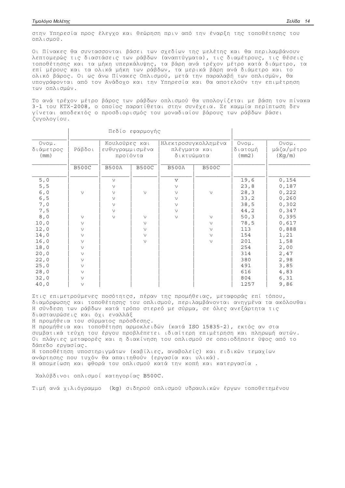στην Υπηρεσία προς έλεγχο και θεώρηση πριν από την έναρξη της τοποθέτησης του οπλισμού.

Οι Πίνακες θα συντασσονται βάσει των σχεδίων της μελέτης και θα περιλαμβάνουν λεπτομερώς τις διαστάσεις των ράβδων (αναπτύγματα), τις διαμέτρους, τις θέσεις τοποθέτησης και τα μήκη υπερκάλυψης, τα βάρη ανά τρέχον μέτρο κατά διάμετρο, τα επί μέρους και τα ολικά μήκη των ράβδων, τα μερικά βάρη ανά διάμετρο και το ολικό βάρος. Οι ως άνω Πίνακες Οπλισμού, μετά την παραλαβή των οπλισμών, θα υπογράφονται από τον Ανάδοχο και την Υπηρεσία και θα αποτελούν την επιμέτρηση των οπλισμών.

Το ανά τρέχον μέτρο βάρος των ράβδων οπλισμού θα υπολογίζεται με βάση τον πίνακα 3-1 του ΚΤΧ-2008, ο οποίος παρατίθεται στην συνέχεια. Σε καμμία περίπτωση δεν γίνεται αποδεκτός ο προσδιορισμός του μοναδιαίου βάρους των ράβδων βάσει ζυνολονίου.

|                                                                              |                                                                                                  | Πεδίο εφαρμογής                                                    |                                                   |                                                                                     |                            |                                                                     |                                                                               |
|------------------------------------------------------------------------------|--------------------------------------------------------------------------------------------------|--------------------------------------------------------------------|---------------------------------------------------|-------------------------------------------------------------------------------------|----------------------------|---------------------------------------------------------------------|-------------------------------------------------------------------------------|
| Ovoµ.<br>διάμετρος<br>(mm)                                                   | Κουλούρες και<br>Ράβδοι<br>ευθυγραμμισμένα<br>προϊόντα                                           |                                                                    | Ηλεκτροσυγκολλημένα<br>πλέγματα και<br>δικτυώματα |                                                                                     | Ovoµ.<br>διατομή<br>(mm2)  | Ovoµ.<br>μάζα/μέτρο<br>(Kg/m)                                       |                                                                               |
|                                                                              | <b>B500C</b>                                                                                     | <b>B500A</b>                                                       | <b>B500C</b>                                      | <b>B500A</b>                                                                        | <b>B500C</b>               |                                                                     |                                                                               |
| 5,0<br>$5, 5$<br>6,0<br>$6, 5$<br>7,0<br>7,5<br>8,0<br>10,0                  | $\vee$<br>$\vee$<br>$\vee$                                                                       | $\vee$<br>$\vee$<br>$\vee$<br>$\vee$<br>$\vee$<br>$\vee$<br>$\vee$ | $\vee$<br>$\vee$<br>$\vee$                        | $\overline{\mathbf{V}}$<br>$\vee$<br>$\vee$<br>$\vee$<br>$\vee$<br>$\vee$<br>$\vee$ | $\vee$<br>$\vee$<br>$\vee$ | 19,6<br>23, 8<br>28, 3<br>33, 2<br>38,5<br>44,2<br>50, 3<br>78,5    | 0,154<br>0,187<br>0,222<br>0,260<br>0,302<br>0,347<br>0,395<br>0,617          |
| 12,0<br>14,0<br>16,0<br>18,0<br>20,0<br>22,0<br>25,0<br>28,0<br>32,0<br>40,0 | $\vee$<br>$\vee$<br>$\vee$<br>$\vee$<br>$\vee$<br>$\vee$<br>$\vee$<br>$\vee$<br>$\vee$<br>$\vee$ |                                                                    | $\vee$<br>$\vee$<br>$\vee$                        |                                                                                     | $\vee$<br>$\vee$<br>$\vee$ | 113<br>154<br>201<br>254<br>314<br>380<br>491<br>616<br>804<br>1257 | 0,888<br>1,21<br>1,58<br>2,00<br>2,47<br>2,98<br>3,85<br>4,83<br>6,31<br>9,86 |

Στις επιμετρούμενες ποσότητςσ, πέραν της προμήθειας, μεταφοράς επί τόπου, διαμόρφωσης και τοποθέτησης του οπλισμού, περιλαμβάνονται ανηγμένα τα ακόλουθα: Η σύνδεση των ράβδων κατά τρόπο στερεό με σύρμα, σε όλες ανεξάρτητα τις διασταυρώσεις και όχι εναλλάξ

Η προμήθεια του σύρματος πρόσδεσης.

Η προμήθεια και τοποθέτηση αρμοκλειδών (κατά ISO 15835-2), εκτός αν στα συμβατικά τεύχη του έργου προβλέπετει ιδιαίτερη επιμέτρηση και πληρωμή αυτών. Οι πλάγιες μεταφορές και η διακίνηση του οπλισμού σε οποιοδήποτε ύψος από το δάπεδο εργασίας.

Η τοποθέτηση υποστηριγμάτων (καβίλιες, αναβολείς) και ειδικών τεμαχίων ανάρτησης που τυχόν θα απαιτηθούν (εργασία και υλικά).

Η απομείωση και φθορά του οπλισμού κατά την κοπή και κατεργασία.

Χαλύβδινοι οπλισμοί κατηγορίας Β500C.

Τιμή ανά χιλιόγραμμο (kg) σιδηρού οπλισμού υδραυλικών έργων τοποθετημένου